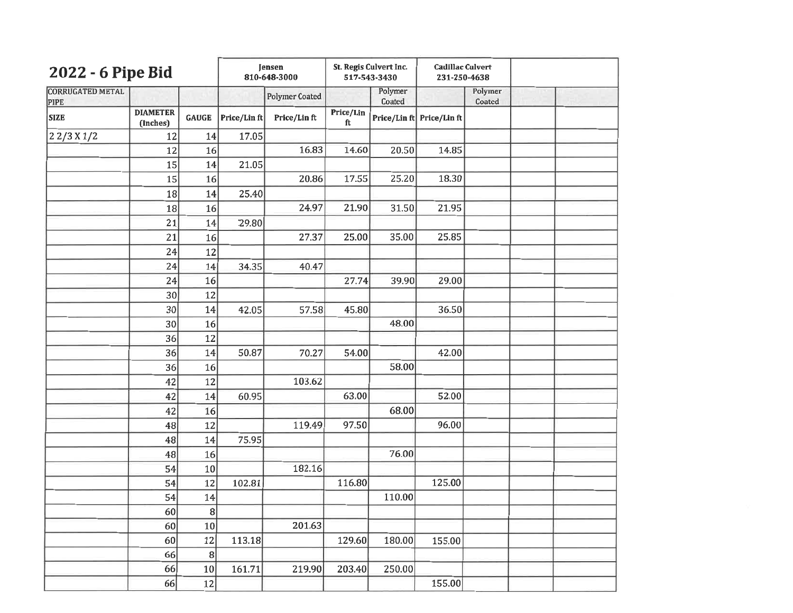| 2022 - 6 Pipe Bid                      |                             |              | <b>Jensen</b><br>810-648-3000 |                       | St. Regis Culvert Inc.<br>517-543-3430 |                   | <b>Cadillac Culvert</b><br>231-250-4638 |                   |  |
|----------------------------------------|-----------------------------|--------------|-------------------------------|-----------------------|----------------------------------------|-------------------|-----------------------------------------|-------------------|--|
| <b>CORRUGATED METAL</b><br><b>PIPE</b> |                             |              |                               | <b>Polymer Coated</b> |                                        | Polymer<br>Coated |                                         | Polymer<br>Coated |  |
| <b>SIZE</b>                            | <b>DIAMETER</b><br>(Inches) | <b>GAUGE</b> | Price/Lin ft                  | Price/Linft           | Price/Lin<br>ft                        |                   | Price/Lin ft Price/Lin ft               |                   |  |
| 22/3 X1/2                              | 12                          | 14           | 17.05                         |                       |                                        |                   |                                         |                   |  |
|                                        | 12                          | 16           |                               | 16.83                 | 14.60                                  | 20.50             | 14.85                                   |                   |  |
|                                        | 15                          | 14           | 21.05                         |                       |                                        |                   |                                         |                   |  |
|                                        | 15                          | 16           |                               | 20.86                 | 17.55                                  | 25.20             | 18.30                                   |                   |  |
|                                        | 18                          | 14           | 25.40                         |                       |                                        |                   |                                         |                   |  |
|                                        | 18                          | 16           |                               | 24.97                 | 21.90                                  | 31.50             | 21.95                                   |                   |  |
|                                        | 21                          | 14           | 29.80                         |                       |                                        |                   |                                         |                   |  |
|                                        | 21                          | 16           |                               | 27.37                 | 25.00                                  | 35.00             | 25.85                                   |                   |  |
|                                        | 24                          | 12           |                               |                       |                                        |                   |                                         |                   |  |
|                                        | 24                          | 14           | 34.35                         | 40.47                 |                                        |                   |                                         |                   |  |
|                                        | 24                          | 16           |                               |                       | 27.74                                  | 39.90             | 29.00                                   |                   |  |
|                                        | 30                          | 12           |                               |                       |                                        |                   |                                         |                   |  |
|                                        | 30                          | 14           | 42.05                         | 57.58                 | 45.80                                  |                   | 36.50                                   |                   |  |
|                                        | 30                          | 16           |                               |                       |                                        | 48.00             |                                         |                   |  |
|                                        | 36                          | 12           |                               |                       |                                        |                   |                                         |                   |  |
|                                        | 36                          | 14           | 50.87                         | 70.27                 | 54.00                                  |                   | 42.00                                   |                   |  |
|                                        | 36                          | 16           |                               |                       |                                        | 58.00             |                                         |                   |  |
|                                        | 42                          | 12           |                               | 103.62                |                                        |                   |                                         |                   |  |
|                                        | 42                          | 14           | 60.95                         |                       | 63.00                                  |                   | 52.00                                   |                   |  |
|                                        | 42                          | 16           |                               |                       |                                        | 68.00             |                                         |                   |  |
|                                        | 48                          | 12           |                               | 119.49                | 97.50                                  |                   | 96.00                                   |                   |  |
|                                        | 48                          | 14           | 75.95                         |                       |                                        |                   |                                         |                   |  |
|                                        | 48                          | 16           |                               |                       |                                        | 76.00             |                                         |                   |  |
|                                        | 54                          | 10           |                               | 182.16                |                                        |                   |                                         |                   |  |
|                                        | 54                          | 12           | 102.81                        |                       | 116.80                                 |                   | 125.00                                  |                   |  |
|                                        | 54                          | 14           |                               |                       |                                        | 110.00            |                                         |                   |  |
|                                        | 60                          | 8            |                               |                       |                                        |                   |                                         |                   |  |
|                                        | 60                          | 10           |                               | 201.63                |                                        |                   |                                         |                   |  |
|                                        | 60                          | 12           | 113.18                        |                       | 129.60                                 | 180.00            | 155.00                                  |                   |  |
|                                        | 66                          | 8            |                               |                       |                                        |                   |                                         |                   |  |
|                                        | 66                          | 10           | 161.71                        | 219.90                | 203.40                                 | 250.00            |                                         |                   |  |
|                                        | 66                          | 12           |                               |                       |                                        |                   | 155.00                                  |                   |  |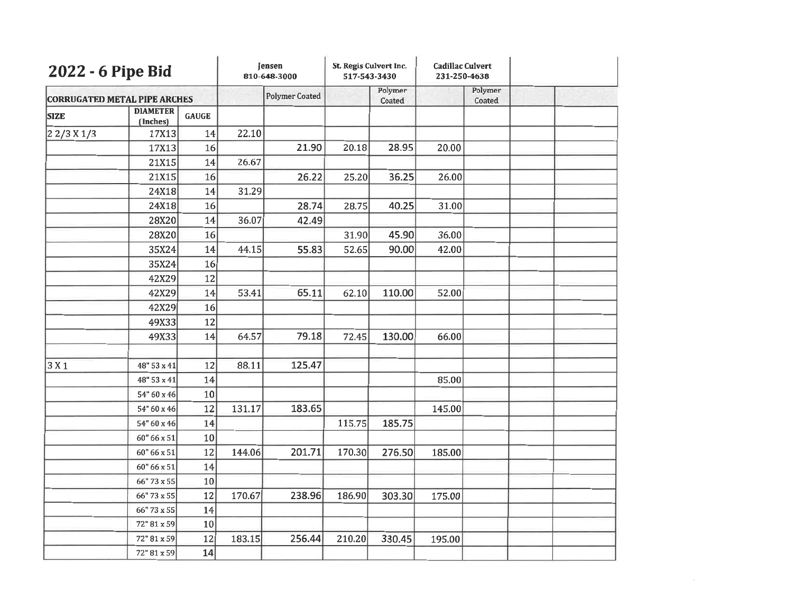| 2022 - 6 Pipe Bid<br><b>CORRUGATED METAL PIPE ARCHES</b> |                             |              | Jensen<br>810-648-3000 |                       | St. Regis Culvert Inc.<br>517-543-3430 |                   | <b>Cadillac Culvert</b><br>231-250-4638 |                   |  |
|----------------------------------------------------------|-----------------------------|--------------|------------------------|-----------------------|----------------------------------------|-------------------|-----------------------------------------|-------------------|--|
|                                                          |                             |              |                        | <b>Polymer Coated</b> |                                        | Polymer<br>Coated |                                         | Polymer<br>Coated |  |
| <b>SIZE</b>                                              | <b>DIAMETER</b><br>(Inches) | <b>GAUGE</b> |                        |                       |                                        |                   |                                         |                   |  |
| 22/3 X1/3                                                | 17X13                       | 14           | 22.10                  |                       |                                        |                   |                                         |                   |  |
|                                                          | 17X13                       | 16           |                        | 21.90                 | 20.18                                  | 28.95             | 20.00                                   |                   |  |
|                                                          | 21X15                       | 14           | 26.67                  |                       |                                        |                   |                                         |                   |  |
|                                                          | 21X15                       | 16           |                        | 26.22                 | 25.20                                  | 36.25             | 26.00                                   |                   |  |
|                                                          | 24X18                       | 14           | 31.29                  |                       |                                        |                   |                                         |                   |  |
|                                                          | 24X18                       | 16           |                        | 28.74                 | 28.75                                  | 40.25             | 31.00                                   |                   |  |
|                                                          | 28X20                       | 14           | 36.07                  | 42.49                 |                                        |                   |                                         |                   |  |
|                                                          | 28X20                       | 16           |                        |                       | 31.90                                  | 45.90             | 36.00                                   |                   |  |
|                                                          | 35X24                       | 14           | 44.15                  | 55.83                 | 52.65                                  | 90.00             | 42.00                                   |                   |  |
|                                                          | 35X24                       | 16           |                        |                       |                                        |                   |                                         |                   |  |
|                                                          | 42X29                       | 12           |                        |                       |                                        |                   |                                         |                   |  |
|                                                          | 42X29                       | 14           | 53.41                  | 65.11                 | 62.10                                  | 110.00            | 52.00                                   |                   |  |
|                                                          | 42X29                       | 16           |                        |                       |                                        |                   |                                         |                   |  |
|                                                          | 49X33                       | 12           |                        |                       |                                        |                   |                                         |                   |  |
|                                                          | 49X33                       | 14           | 64.57                  | 79.18                 | 72.45                                  | 130.00            | 66.00                                   |                   |  |
|                                                          |                             |              |                        |                       |                                        |                   |                                         |                   |  |
| 3X1                                                      | 48" 53 x 41                 | 12           | 88.11                  | 125.47                |                                        |                   |                                         |                   |  |
|                                                          | 48" 53 x 41                 | 14           |                        |                       |                                        |                   | 85.00                                   |                   |  |
|                                                          | 54" 60 x 46                 | 10           |                        |                       |                                        |                   |                                         |                   |  |
|                                                          | 54" 60 x 46                 | 12           | 131.17                 | 183.65                |                                        |                   | 145.00                                  |                   |  |
|                                                          | 54" 60 x 46                 | 14           |                        |                       | 115.75                                 | 185.75            |                                         |                   |  |
|                                                          | 60" 66 x 51                 | 10           |                        |                       |                                        |                   |                                         |                   |  |
|                                                          | 60" 66 x 51                 | 12           | 144.06                 | 201.71                | 170.30                                 | 276.50            | 185.00                                  |                   |  |
|                                                          | 60" 66 x 51                 | 14           |                        |                       |                                        |                   |                                         |                   |  |
|                                                          | 66" 73 x 55                 | 10           |                        |                       |                                        |                   |                                         |                   |  |
|                                                          | 66" 73 x 55                 | 12           | 170.67                 | 238.96                | 186.90                                 | 303.30            | 175.00                                  |                   |  |
|                                                          | 66" 73 x 55                 | 14           |                        |                       |                                        |                   |                                         |                   |  |
|                                                          | 72" 81 x 59                 | 10           |                        |                       |                                        |                   |                                         |                   |  |
|                                                          | 72" 81 x 59                 | 12           | 183.15                 | 256.44                | 210.20                                 | 330.45            | 195.00                                  |                   |  |
|                                                          | 72" 81 x 59                 | 14           |                        |                       |                                        |                   |                                         |                   |  |